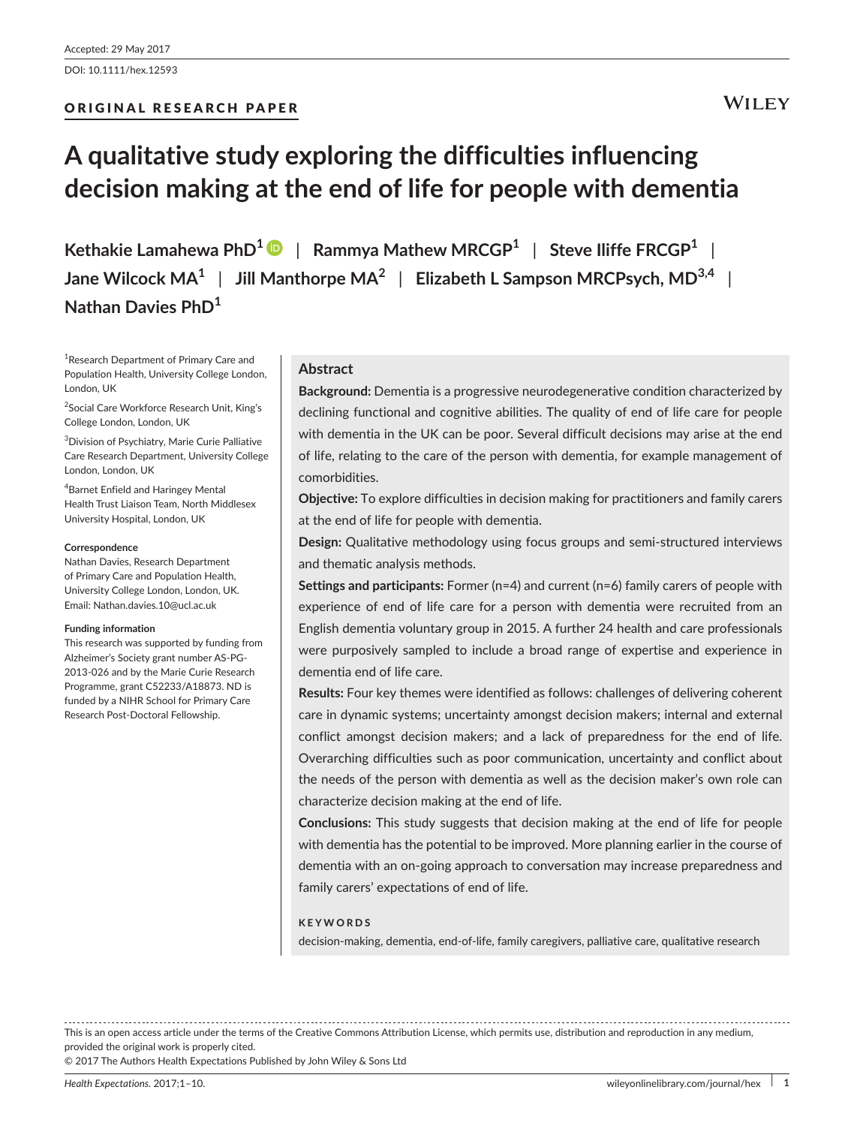DOI: 10.1111/hex.12593

# **A qualitative study exploring the difficulties influencing decision making at the end of life for people with dementia**

**Kethakie Lamahewa PhD[1](http://orcid.org/0000-0002-1210-7716)** | **Rammya Mathew MRCGP<sup>1</sup>** | **Steve Iliffe FRCGP<sup>1</sup>** | **Jane Wilcock MA<sup>1</sup>** | **Jill Manthorpe MA<sup>2</sup>** | **Elizabeth L Sampson MRCPsych, MD3,4** | **Nathan Davies PhD<sup>1</sup>**

<sup>1</sup> Research Department of Primary Care and Population Health, University College London, London, UK

<sup>2</sup>Social Care Workforce Research Unit, King's College London, London, UK

3 Division of Psychiatry, Marie Curie Palliative Care Research Department, University College London, London, UK

4 Barnet Enfield and Haringey Mental Health Trust Liaison Team, North Middlesex University Hospital, London, UK

### **Correspondence**

Nathan Davies, Research Department of Primary Care and Population Health, University College London, London, UK. Email: [Nathan.davies.10@ucl.ac.uk](mailto:Nathan.davies.10@ucl.ac.uk)

### **Funding information**

This research was supported by funding from Alzheimer's Society grant number AS-PG-2013-026 and by the Marie Curie Research Programme, grant C52233/A18873. ND is funded by a NIHR School for Primary Care Research Post-Doctoral Fellowship.

## **Abstract**

**Background:** Dementia is a progressive neurodegenerative condition characterized by declining functional and cognitive abilities. The quality of end of life care for people with dementia in the UK can be poor. Several difficult decisions may arise at the end of life, relating to the care of the person with dementia, for example management of comorbidities.

**Objective:** To explore difficulties in decision making for practitioners and family carers at the end of life for people with dementia.

**Design:** Qualitative methodology using focus groups and semi-structured interviews and thematic analysis methods.

**Settings and participants:** Former (n=4) and current (n=6) family carers of people with experience of end of life care for a person with dementia were recruited from an English dementia voluntary group in 2015. A further 24 health and care professionals were purposively sampled to include a broad range of expertise and experience in dementia end of life care.

**Results:** Four key themes were identified as follows: challenges of delivering coherent care in dynamic systems; uncertainty amongst decision makers; internal and external conflict amongst decision makers; and a lack of preparedness for the end of life. Overarching difficulties such as poor communication, uncertainty and conflict about the needs of the person with dementia as well as the decision maker's own role can characterize decision making at the end of life.

**Conclusions:** This study suggests that decision making at the end of life for people with dementia has the potential to be improved. More planning earlier in the course of dementia with an on-going approach to conversation may increase preparedness and family carers' expectations of end of life.

### **KEYWORDS**

decision-making, dementia, end-of-life, family caregivers, palliative care, qualitative research

............................. This is an open access article under the terms of the [Creative Commons Attribution](http://creativecommons.org/licenses/by/4.0/) License, which permits use, distribution and reproduction in any medium, provided the original work is properly cited.

© 2017 The Authors Health Expectations Published by John Wiley & Sons Ltd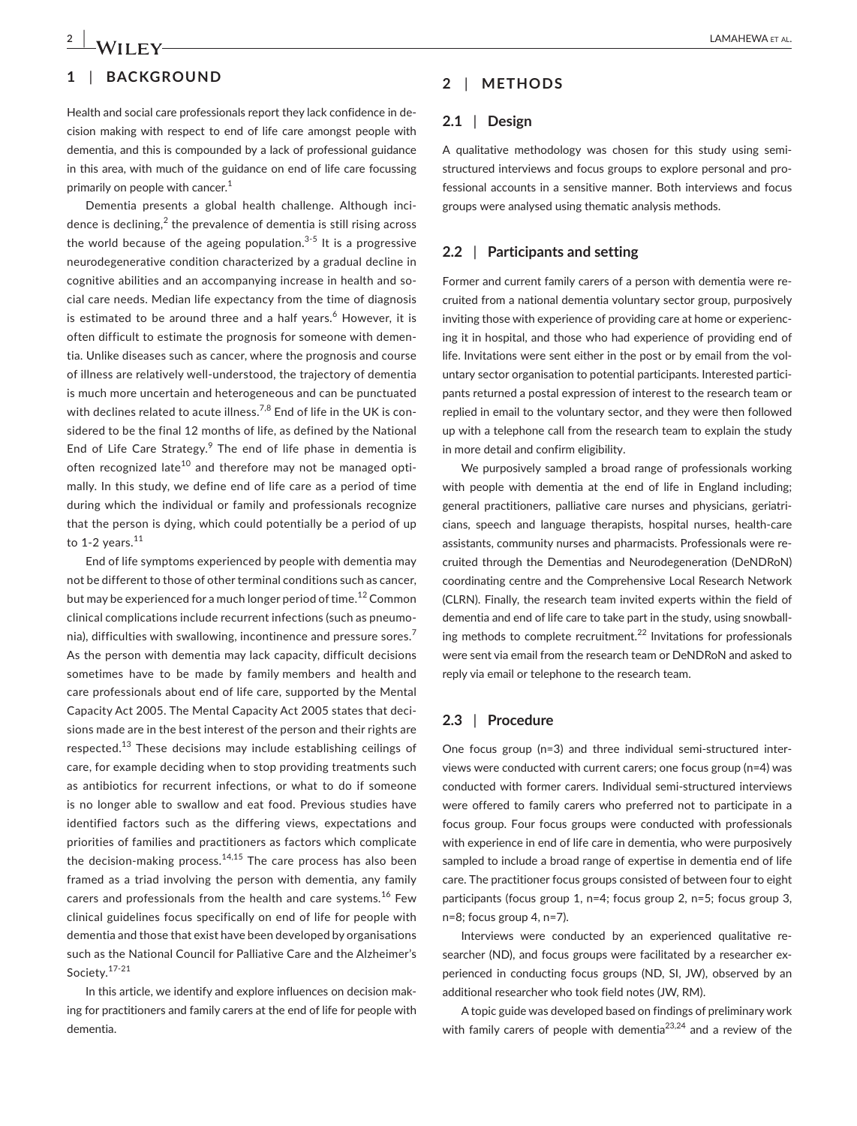# **1** | **BACKGROUND**

Health and social care professionals report they lack confidence in decision making with respect to end of life care amongst people with dementia, and this is compounded by a lack of professional guidance in this area, with much of the guidance on end of life care focussing primarily on people with cancer. $1$ 

Dementia presents a global health challenge. Although incidence is declining, $2$  the prevalence of dementia is still rising across the world because of the ageing population.<sup>3-5</sup> It is a progressive neurodegenerative condition characterized by a gradual decline in cognitive abilities and an accompanying increase in health and social care needs. Median life expectancy from the time of diagnosis is estimated to be around three and a half years.<sup>6</sup> However, it is often difficult to estimate the prognosis for someone with dementia. Unlike diseases such as cancer, where the prognosis and course of illness are relatively well-understood, the trajectory of dementia is much more uncertain and heterogeneous and can be punctuated with declines related to acute illness.<sup>7,8</sup> End of life in the UK is considered to be the final 12 months of life, as defined by the National End of Life Care Strategy.<sup>9</sup> The end of life phase in dementia is often recognized late<sup>10</sup> and therefore may not be managed optimally. In this study, we define end of life care as a period of time during which the individual or family and professionals recognize that the person is dying, which could potentially be a period of up to 1-2 years. $^{11}$ 

End of life symptoms experienced by people with dementia may not be different to those of other terminal conditions such as cancer, but may be experienced for a much longer period of time.<sup>12</sup> Common clinical complications include recurrent infections (such as pneumonia), difficulties with swallowing, incontinence and pressure sores.<sup>7</sup> As the person with dementia may lack capacity, difficult decisions sometimes have to be made by family members and health and care professionals about end of life care, supported by the Mental Capacity Act 2005. The Mental Capacity Act 2005 states that decisions made are in the best interest of the person and their rights are respected.<sup>13</sup> These decisions may include establishing ceilings of care, for example deciding when to stop providing treatments such as antibiotics for recurrent infections, or what to do if someone is no longer able to swallow and eat food. Previous studies have identified factors such as the differing views, expectations and priorities of families and practitioners as factors which complicate the decision-making process. $14,15$  The care process has also been framed as a triad involving the person with dementia, any family carers and professionals from the health and care systems.<sup>16</sup> Few clinical guidelines focus specifically on end of life for people with dementia and those that exist have been developed by organisations such as the National Council for Palliative Care and the Alzheimer's Society.17-21

In this article, we identify and explore influences on decision making for practitioners and family carers at the end of life for people with dementia.

### **2** | **METHODS**

### **2.1** | **Design**

A qualitative methodology was chosen for this study using semistructured interviews and focus groups to explore personal and professional accounts in a sensitive manner. Both interviews and focus groups were analysed using thematic analysis methods.

### **2.2** | **Participants and setting**

Former and current family carers of a person with dementia were recruited from a national dementia voluntary sector group, purposively inviting those with experience of providing care at home or experiencing it in hospital, and those who had experience of providing end of life. Invitations were sent either in the post or by email from the voluntary sector organisation to potential participants. Interested participants returned a postal expression of interest to the research team or replied in email to the voluntary sector, and they were then followed up with a telephone call from the research team to explain the study in more detail and confirm eligibility.

We purposively sampled a broad range of professionals working with people with dementia at the end of life in England including; general practitioners, palliative care nurses and physicians, geriatricians, speech and language therapists, hospital nurses, health-care assistants, community nurses and pharmacists. Professionals were recruited through the Dementias and Neurodegeneration (DeNDRoN) coordinating centre and the Comprehensive Local Research Network (CLRN). Finally, the research team invited experts within the field of dementia and end of life care to take part in the study, using snowballing methods to complete recruitment.<sup>22</sup> Invitations for professionals were sent via email from the research team or DeNDRoN and asked to reply via email or telephone to the research team.

### **2.3** | **Procedure**

One focus group (n=3) and three individual semi-structured interviews were conducted with current carers; one focus group (n=4) was conducted with former carers. Individual semi-structured interviews were offered to family carers who preferred not to participate in a focus group. Four focus groups were conducted with professionals with experience in end of life care in dementia, who were purposively sampled to include a broad range of expertise in dementia end of life care. The practitioner focus groups consisted of between four to eight participants (focus group 1, n=4; focus group 2, n=5; focus group 3, n=8; focus group 4, n=7).

Interviews were conducted by an experienced qualitative researcher (ND), and focus groups were facilitated by a researcher experienced in conducting focus groups (ND, SI, JW), observed by an additional researcher who took field notes (JW, RM).

A topic guide was developed based on findings of preliminary work with family carers of people with dementia $23,24$  and a review of the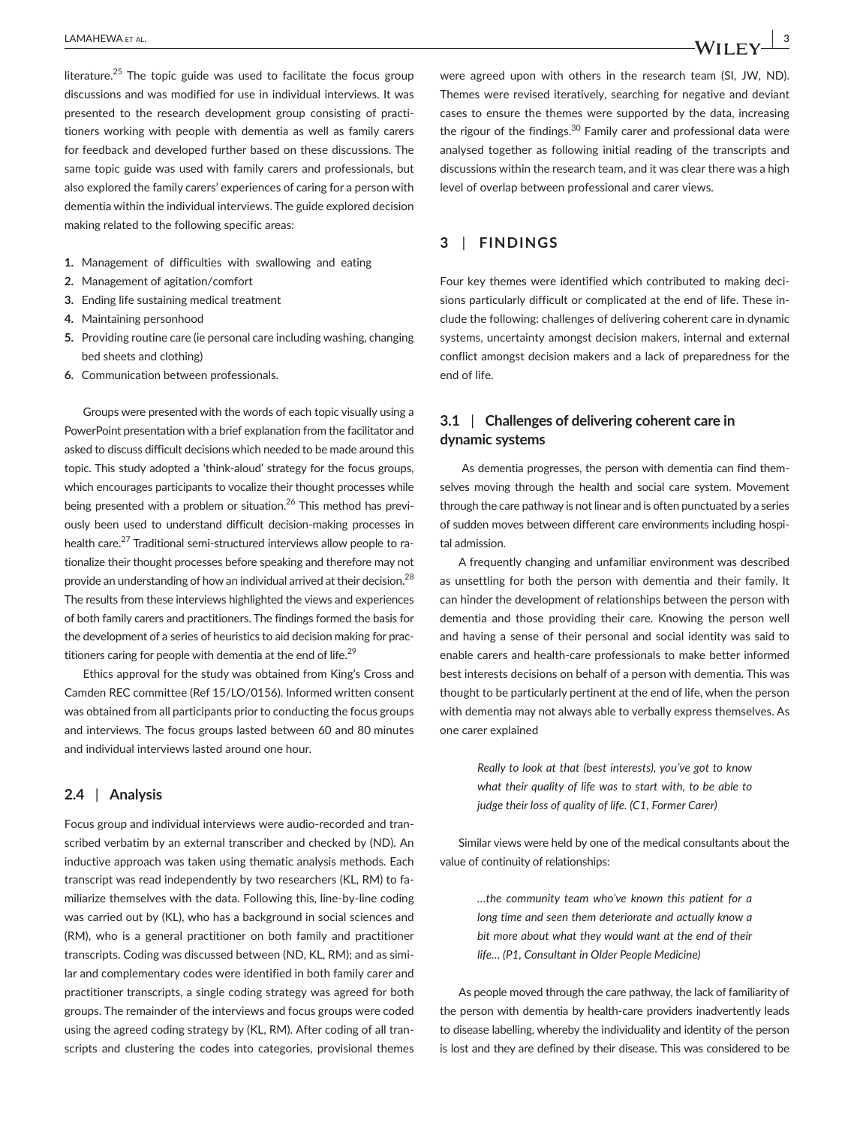literature.<sup>25</sup> The topic guide was used to facilitate the focus group discussions and was modified for use in individual interviews. It was presented to the research development group consisting of practitioners working with people with dementia as well as family carers

for feedback and developed further based on these discussions. The same topic guide was used with family carers and professionals, but also explored the family carers' experiences of caring for a person with dementia within the individual interviews. The guide explored decision making related to the following specific areas:

- **1.** Management of difficulties with swallowing and eating
- **2.** Management of agitation/comfort
- **3.** Ending life sustaining medical treatment
- **4.** Maintaining personhood
- **5.** Providing routine care (ie personal care including washing, changing bed sheets and clothing)
- **6.** Communication between professionals.

Groups were presented with the words of each topic visually using a PowerPoint presentation with a brief explanation from the facilitator and asked to discuss difficult decisions which needed to be made around this topic. This study adopted a 'think-aloud' strategy for the focus groups, which encourages participants to vocalize their thought processes while being presented with a problem or situation.<sup>26</sup> This method has previously been used to understand difficult decision-making processes in health care.<sup>27</sup> Traditional semi-structured interviews allow people to rationalize their thought processes before speaking and therefore may not provide an understanding of how an individual arrived at their decision.<sup>28</sup> The results from these interviews highlighted the views and experiences of both family carers and practitioners. The findings formed the basis for the development of a series of heuristics to aid decision making for practitioners caring for people with dementia at the end of life.<sup>29</sup>

Ethics approval for the study was obtained from King's Cross and Camden REC committee (Ref 15/LO/0156). Informed written consent was obtained from all participants prior to conducting the focus groups and interviews. The focus groups lasted between 60 and 80 minutes and individual interviews lasted around one hour.

### **2.4** | **Analysis**

Focus group and individual interviews were audio-recorded and transcribed verbatim by an external transcriber and checked by (ND). An inductive approach was taken using thematic analysis methods. Each transcript was read independently by two researchers (KL, RM) to familiarize themselves with the data. Following this, line-by-line coding was carried out by (KL), who has a background in social sciences and (RM), who is a general practitioner on both family and practitioner transcripts. Coding was discussed between (ND, KL, RM); and as similar and complementary codes were identified in both family carer and practitioner transcripts, a single coding strategy was agreed for both groups. The remainder of the interviews and focus groups were coded using the agreed coding strategy by (KL, RM). After coding of all transcripts and clustering the codes into categories, provisional themes were agreed upon with others in the research team (SI, JW, ND). Themes were revised iteratively, searching for negative and deviant cases to ensure the themes were supported by the data, increasing the rigour of the findings. $30$  Family carer and professional data were analysed together as following initial reading of the transcripts and discussions within the research team, and it was clear there was a high level of overlap between professional and carer views.

### **3** | **FINDINGS**

Four key themes were identified which contributed to making decisions particularly difficult or complicated at the end of life. These include the following: challenges of delivering coherent care in dynamic systems, uncertainty amongst decision makers, internal and external conflict amongst decision makers and a lack of preparedness for the end of life.

# **3.1** | **Challenges of delivering coherent care in dynamic systems**

 As dementia progresses, the person with dementia can find themselves moving through the health and social care system. Movement through the care pathway is not linear and is often punctuated by a series of sudden moves between different care environments including hospital admission.

A frequently changing and unfamiliar environment was described as unsettling for both the person with dementia and their family. It can hinder the development of relationships between the person with dementia and those providing their care. Knowing the person well and having a sense of their personal and social identity was said to enable carers and health-care professionals to make better informed best interests decisions on behalf of a person with dementia. This was thought to be particularly pertinent at the end of life, when the person with dementia may not always able to verbally express themselves. As one carer explained

> *Really to look at that (best interests), you've got to know what their quality of life was to start with, to be able to judge their loss of quality of life. (C1, Former Carer)*

Similar views were held by one of the medical consultants about the value of continuity of relationships:

> *…the community team who've known this patient for a long time and seen them deteriorate and actually know a bit more about what they would want at the end of their life… (P1, Consultant in Older People Medicine)*

As people moved through the care pathway, the lack of familiarity of the person with dementia by health-care providers inadvertently leads to disease labelling, whereby the individuality and identity of the person is lost and they are defined by their disease. This was considered to be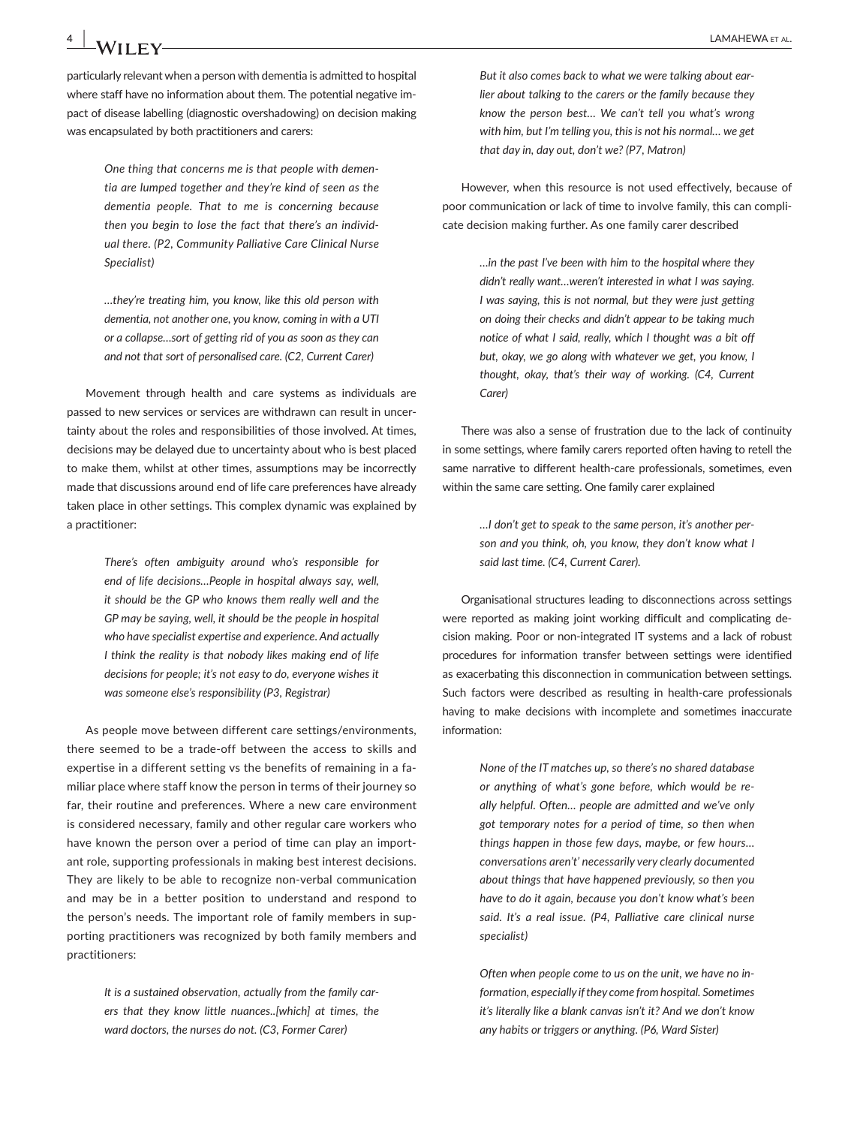particularly relevant when a person with dementia is admitted to hospital where staff have no information about them. The potential negative impact of disease labelling (diagnostic overshadowing) on decision making was encapsulated by both practitioners and carers:

> *One thing that concerns me is that people with dementia are lumped together and they're kind of seen as the dementia people. That to me is concerning because then you begin to lose the fact that there's an individual there. (P2, Community Palliative Care Clinical Nurse Specialist)*

> *…they're treating him, you know, like this old person with dementia, not another one, you know, coming in with a UTI or a collapse…sort of getting rid of you as soon as they can and not that sort of personalised care. (C2, Current Carer)*

Movement through health and care systems as individuals are passed to new services or services are withdrawn can result in uncertainty about the roles and responsibilities of those involved. At times, decisions may be delayed due to uncertainty about who is best placed to make them, whilst at other times, assumptions may be incorrectly made that discussions around end of life care preferences have already taken place in other settings. This complex dynamic was explained by a practitioner:

> *There's often ambiguity around who's responsible for end of life decisions…People in hospital always say, well, it should be the GP who knows them really well and the GP may be saying, well, it should be the people in hospital who have specialist expertise and experience. And actually I think the reality is that nobody likes making end of life decisions for people; it's not easy to do, everyone wishes it was someone else's responsibility (P3, Registrar)*

As people move between different care settings/environments, there seemed to be a trade-off between the access to skills and expertise in a different setting vs the benefits of remaining in a familiar place where staff know the person in terms of their journey so far, their routine and preferences. Where a new care environment is considered necessary, family and other regular care workers who have known the person over a period of time can play an important role, supporting professionals in making best interest decisions. They are likely to be able to recognize non-verbal communication and may be in a better position to understand and respond to the person's needs. The important role of family members in supporting practitioners was recognized by both family members and practitioners:

> *It is a sustained observation, actually from the family carers that they know little nuances..[which] at times, the ward doctors, the nurses do not. (C3, Former Carer)*

*But it also comes back to what we were talking about earlier about talking to the carers or the family because they know the person best… We can't tell you what's wrong with him, but I'm telling you, this is not his normal… we get that day in, day out, don't we? (P7, Matron)*

However, when this resource is not used effectively, because of poor communication or lack of time to involve family, this can complicate decision making further. As one family carer described

> *…in the past I've been with him to the hospital where they didn't really want…weren't interested in what I was saying. I was saying, this is not normal, but they were just getting on doing their checks and didn't appear to be taking much notice of what I said, really, which I thought was a bit off but, okay, we go along with whatever we get, you know, I thought, okay, that's their way of working. (C4, Current Carer)*

There was also a sense of frustration due to the lack of continuity in some settings, where family carers reported often having to retell the same narrative to different health-care professionals, sometimes, even within the same care setting. One family carer explained

> *…I don't get to speak to the same person, it's another person and you think, oh, you know, they don't know what I said last time. (C4, Current Carer).*

Organisational structures leading to disconnections across settings were reported as making joint working difficult and complicating decision making. Poor or non-integrated IT systems and a lack of robust procedures for information transfer between settings were identified as exacerbating this disconnection in communication between settings. Such factors were described as resulting in health-care professionals having to make decisions with incomplete and sometimes inaccurate information:

> *None of the IT matches up, so there's no shared database or anything of what's gone before, which would be really helpful. Often… people are admitted and we've only got temporary notes for a period of time, so then when things happen in those few days, maybe, or few hours… conversations aren't' necessarily very clearly documented about things that have happened previously, so then you have to do it again, because you don't know what's been said. It's a real issue. (P4, Palliative care clinical nurse specialist)*

> *Often when people come to us on the unit, we have no information, especially if they come from hospital. Sometimes it's literally like a blank canvas isn't it? And we don't know any habits or triggers or anything. (P6, Ward Sister)*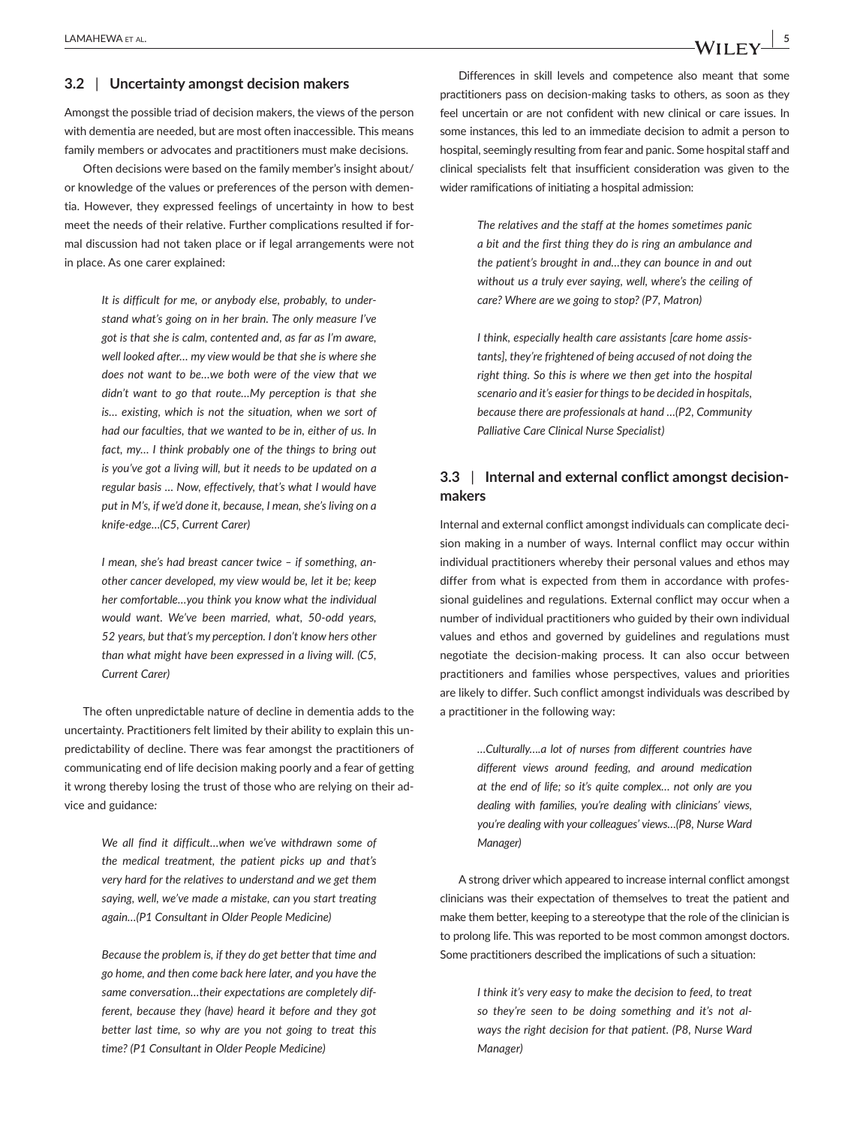### **3.2** | **Uncertainty amongst decision makers**

Amongst the possible triad of decision makers, the views of the person with dementia are needed, but are most often inaccessible. This means family members or advocates and practitioners must make decisions.

Often decisions were based on the family member's insight about/ or knowledge of the values or preferences of the person with dementia. However, they expressed feelings of uncertainty in how to best meet the needs of their relative. Further complications resulted if formal discussion had not taken place or if legal arrangements were not in place. As one carer explained:

> *It is difficult for me, or anybody else, probably, to understand what's going on in her brain. The only measure I've got is that she is calm, contented and, as far as I'm aware, well looked after… my view would be that she is where she does not want to be…we both were of the view that we didn't want to go that route…My perception is that she is… existing, which is not the situation, when we sort of had our faculties, that we wanted to be in, either of us. In fact, my… I think probably one of the things to bring out is you've got a living will, but it needs to be updated on a regular basis … Now, effectively, that's what I would have put in M's, if we'd done it, because, I mean, she's living on a knife-edge…(C5, Current Carer)*

> *I mean, she's had breast cancer twice – if something, another cancer developed, my view would be, let it be; keep her comfortable…you think you know what the individual would want. We've been married, what, 50-odd years, 52 years, but that's my perception. I don't know hers other than what might have been expressed in a living will. (C5, Current Carer)*

The often unpredictable nature of decline in dementia adds to the uncertainty. Practitioners felt limited by their ability to explain this unpredictability of decline. There was fear amongst the practitioners of communicating end of life decision making poorly and a fear of getting it wrong thereby losing the trust of those who are relying on their advice and guidance*:*

> *We all find it difficult…when we've withdrawn some of the medical treatment, the patient picks up and that's very hard for the relatives to understand and we get them saying, well, we've made a mistake, can you start treating again…(P1 Consultant in Older People Medicine)*

> *Because the problem is, if they do get better that time and go home, and then come back here later, and you have the same conversation…their expectations are completely different, because they (have) heard it before and they got better last time, so why are you not going to treat this time? (P1 Consultant in Older People Medicine)*

Differences in skill levels and competence also meant that some practitioners pass on decision-making tasks to others, as soon as they feel uncertain or are not confident with new clinical or care issues. In some instances, this led to an immediate decision to admit a person to hospital, seemingly resulting from fear and panic. Some hospital staff and clinical specialists felt that insufficient consideration was given to the wider ramifications of initiating a hospital admission:

> *The relatives and the staff at the homes sometimes panic a bit and the first thing they do is ring an ambulance and the patient's brought in and…they can bounce in and out without us a truly ever saying, well, where's the ceiling of care? Where are we going to stop? (P7, Matron)*

> *I think, especially health care assistants [care home assistants], they're frightened of being accused of not doing the right thing. So this is where we then get into the hospital scenario and it's easier for things to be decided in hospitals, because there are professionals at hand …(P2, Community Palliative Care Clinical Nurse Specialist)*

## **3.3** | **Internal and external conflict amongst decisionmakers**

Internal and external conflict amongst individuals can complicate decision making in a number of ways. Internal conflict may occur within individual practitioners whereby their personal values and ethos may differ from what is expected from them in accordance with professional guidelines and regulations. External conflict may occur when a number of individual practitioners who guided by their own individual values and ethos and governed by guidelines and regulations must negotiate the decision-making process. It can also occur between practitioners and families whose perspectives, values and priorities are likely to differ. Such conflict amongst individuals was described by a practitioner in the following way:

> *…Culturally….a lot of nurses from different countries have different views around feeding, and around medication at the end of life; so it's quite complex… not only are you dealing with families, you're dealing with clinicians' views, you're dealing with your colleagues' views…(P8, Nurse Ward Manager)*

A strong driver which appeared to increase internal conflict amongst clinicians was their expectation of themselves to treat the patient and make them better, keeping to a stereotype that the role of the clinician is to prolong life. This was reported to be most common amongst doctors. Some practitioners described the implications of such a situation:

> *I think it's very easy to make the decision to feed, to treat so they're seen to be doing something and it's not always the right decision for that patient. (P8, Nurse Ward Manager)*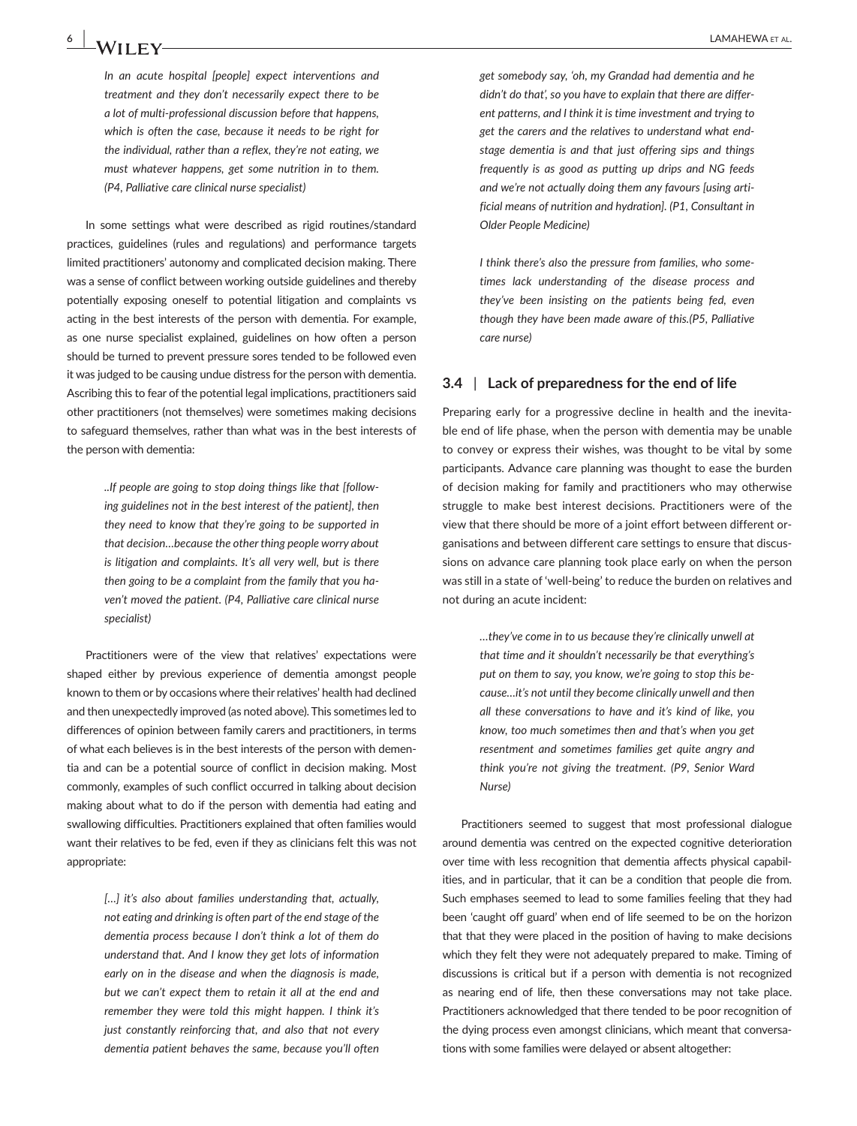# **6 LAMAHEWA** ET AL.

*In an acute hospital [people] expect interventions and treatment and they don't necessarily expect there to be a lot of multi-professional discussion before that happens, which is often the case, because it needs to be right for the individual, rather than a reflex, they're not eating, we must whatever happens, get some nutrition in to them. (P4, Palliative care clinical nurse specialist)*

In some settings what were described as rigid routines/standard practices, guidelines (rules and regulations) and performance targets limited practitioners' autonomy and complicated decision making. There was a sense of conflict between working outside guidelines and thereby potentially exposing oneself to potential litigation and complaints vs acting in the best interests of the person with dementia. For example, as one nurse specialist explained, guidelines on how often a person should be turned to prevent pressure sores tended to be followed even it was judged to be causing undue distress for the person with dementia. Ascribing this to fear of the potential legal implications, practitioners said other practitioners (not themselves) were sometimes making decisions to safeguard themselves, rather than what was in the best interests of the person with dementia:

> *..If people are going to stop doing things like that [following guidelines not in the best interest of the patient], then they need to know that they're going to be supported in that decision…because the other thing people worry about is litigation and complaints. It's all very well, but is there then going to be a complaint from the family that you haven't moved the patient. (P4, Palliative care clinical nurse specialist)*

Practitioners were of the view that relatives' expectations were shaped either by previous experience of dementia amongst people known to them or by occasions where their relatives' health had declined and then unexpectedly improved (as noted above). This sometimes led to differences of opinion between family carers and practitioners, in terms of what each believes is in the best interests of the person with dementia and can be a potential source of conflict in decision making. Most commonly, examples of such conflict occurred in talking about decision making about what to do if the person with dementia had eating and swallowing difficulties. Practitioners explained that often families would want their relatives to be fed, even if they as clinicians felt this was not appropriate:

> [...] it's also about families understanding that, actually, *not eating and drinking is often part of the end stage of the dementia process because I don't think a lot of them do understand that. And I know they get lots of information early on in the disease and when the diagnosis is made, but we can't expect them to retain it all at the end and remember they were told this might happen. I think it's just constantly reinforcing that, and also that not every dementia patient behaves the same, because you'll often*

*get somebody say, 'oh, my Grandad had dementia and he didn't do that', so you have to explain that there are different patterns, and I think it is time investment and trying to get the carers and the relatives to understand what endstage dementia is and that just offering sips and things frequently is as good as putting up drips and NG feeds and we're not actually doing them any favours [using artificial means of nutrition and hydration]. (P1, Consultant in Older People Medicine)*

*I think there's also the pressure from families, who sometimes lack understanding of the disease process and they've been insisting on the patients being fed, even though they have been made aware of this.(P5, Palliative care nurse)*

### **3.4** | **Lack of preparedness for the end of life**

Preparing early for a progressive decline in health and the inevitable end of life phase, when the person with dementia may be unable to convey or express their wishes, was thought to be vital by some participants. Advance care planning was thought to ease the burden of decision making for family and practitioners who may otherwise struggle to make best interest decisions. Practitioners were of the view that there should be more of a joint effort between different organisations and between different care settings to ensure that discussions on advance care planning took place early on when the person was still in a state of 'well-being' to reduce the burden on relatives and not during an acute incident:

*…they've come in to us because they're clinically unwell at that time and it shouldn't necessarily be that everything's put on them to say, you know, we're going to stop this because…it's not until they become clinically unwell and then all these conversations to have and it's kind of like, you know, too much sometimes then and that's when you get resentment and sometimes families get quite angry and think you're not giving the treatment. (P9, Senior Ward Nurse)*

Practitioners seemed to suggest that most professional dialogue around dementia was centred on the expected cognitive deterioration over time with less recognition that dementia affects physical capabilities, and in particular, that it can be a condition that people die from. Such emphases seemed to lead to some families feeling that they had been 'caught off guard' when end of life seemed to be on the horizon that that they were placed in the position of having to make decisions which they felt they were not adequately prepared to make. Timing of discussions is critical but if a person with dementia is not recognized as nearing end of life, then these conversations may not take place. Practitioners acknowledged that there tended to be poor recognition of the dying process even amongst clinicians, which meant that conversations with some families were delayed or absent altogether: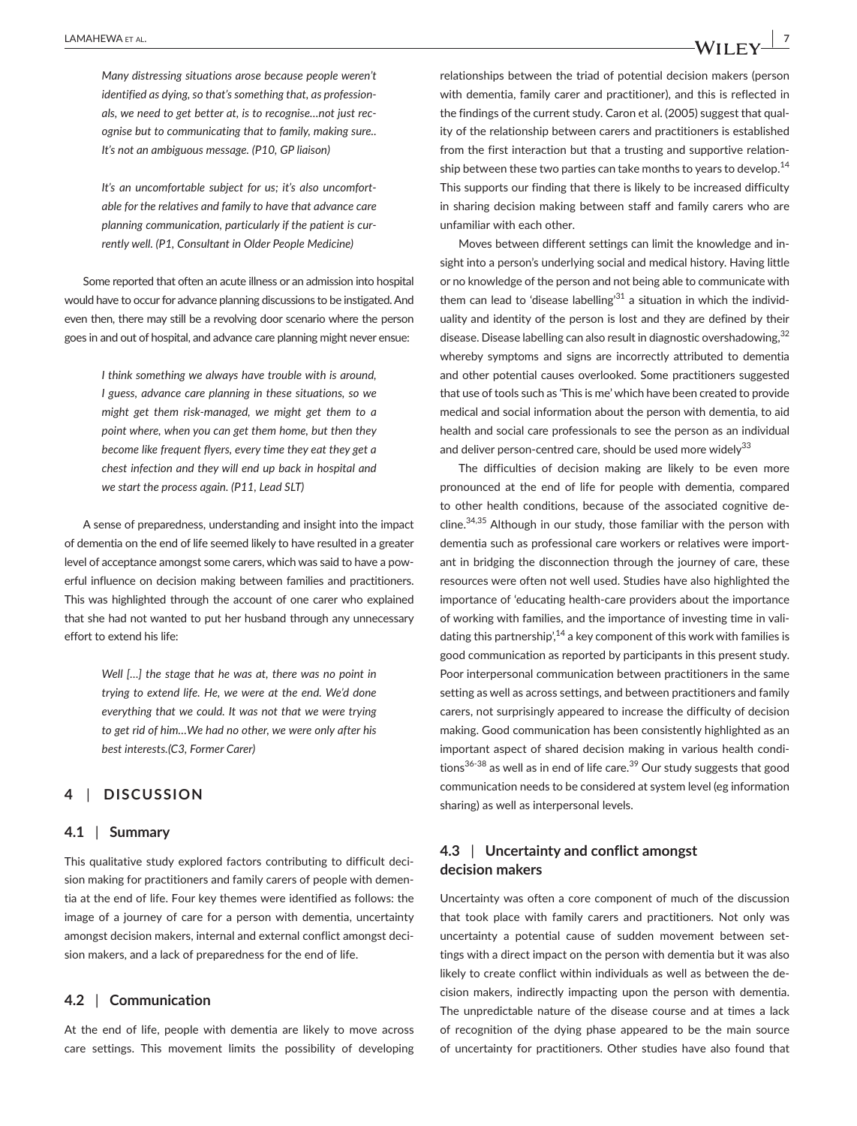*Many distressing situations arose because people weren't identified as dying, so that's something that, as professionals, we need to get better at, is to recognise…not just recognise but to communicating that to family, making sure.. It's not an ambiguous message. (P10, GP liaison)*

*It's an uncomfortable subject for us; it's also uncomfortable for the relatives and family to have that advance care planning communication, particularly if the patient is currently well. (P1, Consultant in Older People Medicine)*

Some reported that often an acute illness or an admission into hospital would have to occur for advance planning discussions to be instigated. And even then, there may still be a revolving door scenario where the person goes in and out of hospital, and advance care planning might never ensue:

> *I think something we always have trouble with is around, I guess, advance care planning in these situations, so we might get them risk-managed, we might get them to a point where, when you can get them home, but then they become like frequent flyers, every time they eat they get a chest infection and they will end up back in hospital and we start the process again. (P11, Lead SLT)*

A sense of preparedness, understanding and insight into the impact of dementia on the end of life seemed likely to have resulted in a greater level of acceptance amongst some carers, which was said to have a powerful influence on decision making between families and practitioners. This was highlighted through the account of one carer who explained that she had not wanted to put her husband through any unnecessary effort to extend his life:

> *Well […] the stage that he was at, there was no point in trying to extend life. He, we were at the end. We'd done everything that we could. It was not that we were trying to get rid of him…We had no other, we were only after his best interests.(C3, Former Carer)*

### **4** | **DISCUSSION**

#### **4.1** | **Summary**

This qualitative study explored factors contributing to difficult decision making for practitioners and family carers of people with dementia at the end of life. Four key themes were identified as follows: the image of a journey of care for a person with dementia, uncertainty amongst decision makers, internal and external conflict amongst decision makers, and a lack of preparedness for the end of life.

### **4.2** | **Communication**

At the end of life, people with dementia are likely to move across care settings. This movement limits the possibility of developing relationships between the triad of potential decision makers (person with dementia, family carer and practitioner), and this is reflected in the findings of the current study. Caron et al. (2005) suggest that quality of the relationship between carers and practitioners is established from the first interaction but that a trusting and supportive relationship between these two parties can take months to years to develop.<sup>14</sup> This supports our finding that there is likely to be increased difficulty in sharing decision making between staff and family carers who are unfamiliar with each other.

Moves between different settings can limit the knowledge and insight into a person's underlying social and medical history. Having little or no knowledge of the person and not being able to communicate with them can lead to 'disease labelling<sup>31</sup> a situation in which the individuality and identity of the person is lost and they are defined by their disease. Disease labelling can also result in diagnostic overshadowing,  $32$ whereby symptoms and signs are incorrectly attributed to dementia and other potential causes overlooked. Some practitioners suggested that use of tools such as 'This is me' which have been created to provide medical and social information about the person with dementia, to aid health and social care professionals to see the person as an individual and deliver person-centred care, should be used more widely<sup>33</sup>

The difficulties of decision making are likely to be even more pronounced at the end of life for people with dementia, compared to other health conditions, because of the associated cognitive decline.<sup>34,35</sup> Although in our study, those familiar with the person with dementia such as professional care workers or relatives were important in bridging the disconnection through the journey of care, these resources were often not well used. Studies have also highlighted the importance of 'educating health-care providers about the importance of working with families, and the importance of investing time in validating this partnership',  $14$  a key component of this work with families is good communication as reported by participants in this present study. Poor interpersonal communication between practitioners in the same setting as well as across settings, and between practitioners and family carers, not surprisingly appeared to increase the difficulty of decision making. Good communication has been consistently highlighted as an important aspect of shared decision making in various health conditions<sup>36-38</sup> as well as in end of life care.<sup>39</sup> Our study suggests that good communication needs to be considered at system level (eg information sharing) as well as interpersonal levels.

# **4.3** | **Uncertainty and conflict amongst decision makers**

Uncertainty was often a core component of much of the discussion that took place with family carers and practitioners. Not only was uncertainty a potential cause of sudden movement between settings with a direct impact on the person with dementia but it was also likely to create conflict within individuals as well as between the decision makers, indirectly impacting upon the person with dementia. The unpredictable nature of the disease course and at times a lack of recognition of the dying phase appeared to be the main source of uncertainty for practitioners. Other studies have also found that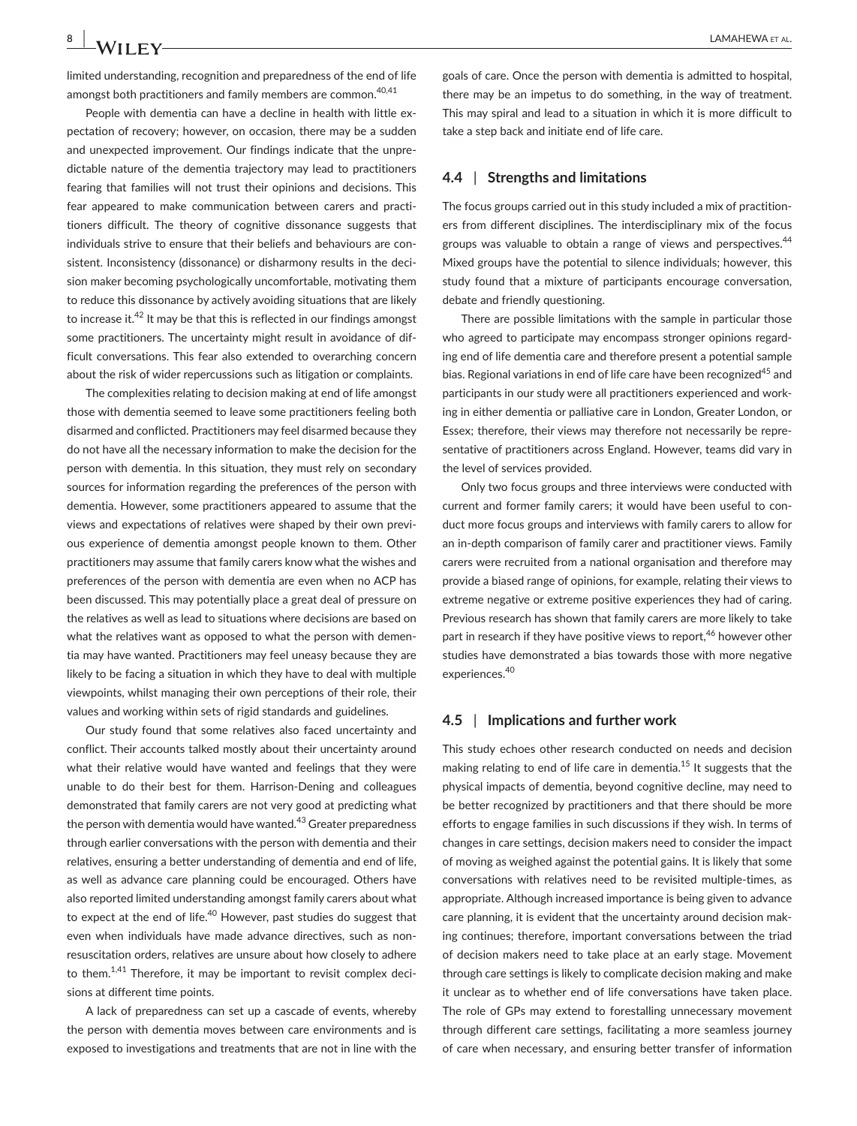**8 |**  $\mathbf{A}$ **//II**  $\mathbf{E}$ //  $\mathbf{A}$ 

limited understanding, recognition and preparedness of the end of life amongst both practitioners and family members are common.<sup>40,41</sup>

People with dementia can have a decline in health with little expectation of recovery; however, on occasion, there may be a sudden and unexpected improvement. Our findings indicate that the unpredictable nature of the dementia trajectory may lead to practitioners fearing that families will not trust their opinions and decisions. This fear appeared to make communication between carers and practitioners difficult. The theory of cognitive dissonance suggests that individuals strive to ensure that their beliefs and behaviours are consistent. Inconsistency (dissonance) or disharmony results in the decision maker becoming psychologically uncomfortable, motivating them to reduce this dissonance by actively avoiding situations that are likely to increase it.<sup>42</sup> It may be that this is reflected in our findings amongst some practitioners. The uncertainty might result in avoidance of difficult conversations. This fear also extended to overarching concern about the risk of wider repercussions such as litigation or complaints.

The complexities relating to decision making at end of life amongst those with dementia seemed to leave some practitioners feeling both disarmed and conflicted. Practitioners may feel disarmed because they do not have all the necessary information to make the decision for the person with dementia. In this situation, they must rely on secondary sources for information regarding the preferences of the person with dementia. However, some practitioners appeared to assume that the views and expectations of relatives were shaped by their own previous experience of dementia amongst people known to them. Other practitioners may assume that family carers know what the wishes and preferences of the person with dementia are even when no ACP has been discussed. This may potentially place a great deal of pressure on the relatives as well as lead to situations where decisions are based on what the relatives want as opposed to what the person with dementia may have wanted. Practitioners may feel uneasy because they are likely to be facing a situation in which they have to deal with multiple viewpoints, whilst managing their own perceptions of their role, their values and working within sets of rigid standards and guidelines.

Our study found that some relatives also faced uncertainty and conflict. Their accounts talked mostly about their uncertainty around what their relative would have wanted and feelings that they were unable to do their best for them. Harrison-Dening and colleagues demonstrated that family carers are not very good at predicting what the person with dementia would have wanted. $43$  Greater preparedness through earlier conversations with the person with dementia and their relatives, ensuring a better understanding of dementia and end of life, as well as advance care planning could be encouraged. Others have also reported limited understanding amongst family carers about what to expect at the end of life.<sup>40</sup> However, past studies do suggest that even when individuals have made advance directives, such as nonresuscitation orders, relatives are unsure about how closely to adhere to them.<sup>1,41</sup> Therefore, it may be important to revisit complex decisions at different time points.

A lack of preparedness can set up a cascade of events, whereby the person with dementia moves between care environments and is exposed to investigations and treatments that are not in line with the goals of care. Once the person with dementia is admitted to hospital, there may be an impetus to do something, in the way of treatment. This may spiral and lead to a situation in which it is more difficult to take a step back and initiate end of life care.

### **4.4** | **Strengths and limitations**

The focus groups carried out in this study included a mix of practitioners from different disciplines. The interdisciplinary mix of the focus groups was valuable to obtain a range of views and perspectives.<sup>44</sup> Mixed groups have the potential to silence individuals; however, this study found that a mixture of participants encourage conversation, debate and friendly questioning.

There are possible limitations with the sample in particular those who agreed to participate may encompass stronger opinions regarding end of life dementia care and therefore present a potential sample bias. Regional variations in end of life care have been recognized<sup>45</sup> and participants in our study were all practitioners experienced and working in either dementia or palliative care in London, Greater London, or Essex; therefore, their views may therefore not necessarily be representative of practitioners across England. However, teams did vary in the level of services provided.

Only two focus groups and three interviews were conducted with current and former family carers; it would have been useful to conduct more focus groups and interviews with family carers to allow for an in-depth comparison of family carer and practitioner views. Family carers were recruited from a national organisation and therefore may provide a biased range of opinions, for example, relating their views to extreme negative or extreme positive experiences they had of caring. Previous research has shown that family carers are more likely to take part in research if they have positive views to report,<sup>46</sup> however other studies have demonstrated a bias towards those with more negative experiences.<sup>40</sup>

#### **4.5** | **Implications and further work**

This study echoes other research conducted on needs and decision making relating to end of life care in dementia.<sup>15</sup> It suggests that the physical impacts of dementia, beyond cognitive decline, may need to be better recognized by practitioners and that there should be more efforts to engage families in such discussions if they wish. In terms of changes in care settings, decision makers need to consider the impact of moving as weighed against the potential gains. It is likely that some conversations with relatives need to be revisited multiple-times, as appropriate. Although increased importance is being given to advance care planning, it is evident that the uncertainty around decision making continues; therefore, important conversations between the triad of decision makers need to take place at an early stage. Movement through care settings is likely to complicate decision making and make it unclear as to whether end of life conversations have taken place. The role of GPs may extend to forestalling unnecessary movement through different care settings, facilitating a more seamless journey of care when necessary, and ensuring better transfer of information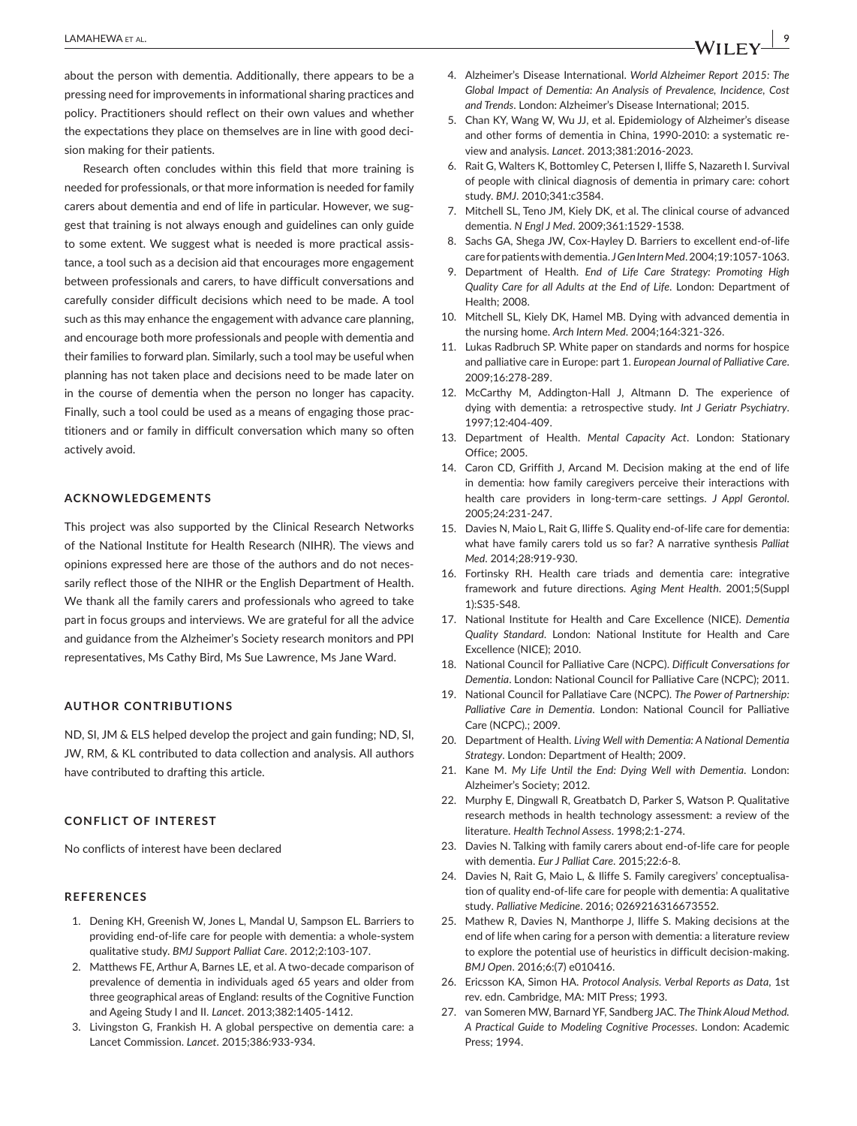about the person with dementia. Additionally, there appears to be a pressing need for improvements in informational sharing practices and policy. Practitioners should reflect on their own values and whether the expectations they place on themselves are in line with good decision making for their patients.

Research often concludes within this field that more training is needed for professionals, or that more information is needed for family carers about dementia and end of life in particular. However, we suggest that training is not always enough and guidelines can only guide to some extent. We suggest what is needed is more practical assistance, a tool such as a decision aid that encourages more engagement between professionals and carers, to have difficult conversations and carefully consider difficult decisions which need to be made. A tool such as this may enhance the engagement with advance care planning, and encourage both more professionals and people with dementia and their families to forward plan. Similarly, such a tool may be useful when planning has not taken place and decisions need to be made later on in the course of dementia when the person no longer has capacity. Finally, such a tool could be used as a means of engaging those practitioners and or family in difficult conversation which many so often actively avoid.

### **ACKNOWLEDGEMENTS**

This project was also supported by the Clinical Research Networks of the National Institute for Health Research (NIHR). The views and opinions expressed here are those of the authors and do not necessarily reflect those of the NIHR or the English Department of Health. We thank all the family carers and professionals who agreed to take part in focus groups and interviews. We are grateful for all the advice and guidance from the Alzheimer's Society research monitors and PPI representatives, Ms Cathy Bird, Ms Sue Lawrence, Ms Jane Ward.

### **AUTHOR CONTRIBUTIONS**

ND, SI, JM & ELS helped develop the project and gain funding; ND, SI, JW, RM, & KL contributed to data collection and analysis. All authors have contributed to drafting this article.

#### **CONFLICT OF INTEREST**

No conflicts of interest have been declared

### **REFERENCES**

- 1. Dening KH, Greenish W, Jones L, Mandal U, Sampson EL. Barriers to providing end-of-life care for people with dementia: a whole-system qualitative study. *BMJ Support Palliat Care*. 2012;2:103-107.
- 2. Matthews FE, Arthur A, Barnes LE, et al. A two-decade comparison of prevalence of dementia in individuals aged 65 years and older from three geographical areas of England: results of the Cognitive Function and Ageing Study I and II. *Lancet*. 2013;382:1405-1412.
- 3. Livingston G, Frankish H. A global perspective on dementia care: a Lancet Commission. *Lancet*. 2015;386:933-934.
- 4. Alzheimer's Disease International. *World Alzheimer Report 2015: The Global Impact of Dementia: An Analysis of Prevalence, Incidence, Cost and Trends*. London: Alzheimer's Disease International; 2015.
- 5. Chan KY, Wang W, Wu JJ, et al. Epidemiology of Alzheimer's disease and other forms of dementia in China, 1990-2010: a systematic review and analysis. *Lancet*. 2013;381:2016-2023.
- 6. Rait G, Walters K, Bottomley C, Petersen I, Iliffe S, Nazareth I. Survival of people with clinical diagnosis of dementia in primary care: cohort study. *BMJ*. 2010;341:c3584.
- 7. Mitchell SL, Teno JM, Kiely DK, et al. The clinical course of advanced dementia. *N Engl J Med*. 2009;361:1529-1538.
- 8. Sachs GA, Shega JW, Cox-Hayley D. Barriers to excellent end-of-life care for patients with dementia. *J Gen Intern Med*. 2004;19:1057-1063.
- 9. Department of Health. *End of Life Care Strategy: Promoting High Quality Care for all Adults at the End of Life*. London: Department of Health; 2008.
- 10. Mitchell SL, Kiely DK, Hamel MB. Dying with advanced dementia in the nursing home. *Arch Intern Med*. 2004;164:321-326.
- 11. Lukas Radbruch SP. White paper on standards and norms for hospice and palliative care in Europe: part 1. *European Journal of Palliative Care*. 2009;16:278-289.
- 12. McCarthy M, Addington-Hall J, Altmann D. The experience of dying with dementia: a retrospective study. *Int J Geriatr Psychiatry*. 1997;12:404-409.
- 13. Department of Health. *Mental Capacity Act*. London: Stationary Office; 2005.
- 14. Caron CD, Griffith J, Arcand M. Decision making at the end of life in dementia: how family caregivers perceive their interactions with health care providers in long-term-care settings. *J Appl Gerontol*. 2005;24:231-247.
- 15. Davies N, Maio L, Rait G, Iliffe S. Quality end-of-life care for dementia: what have family carers told us so far? A narrative synthesis *Palliat Med*. 2014;28:919-930.
- 16. Fortinsky RH. Health care triads and dementia care: integrative framework and future directions. *Aging Ment Health*. 2001;5(Suppl 1):S35-S48.
- 17. National Institute for Health and Care Excellence (NICE). *Dementia Quality Standard*. London: National Institute for Health and Care Excellence (NICE); 2010.
- 18. National Council for Palliative Care (NCPC). *Difficult Conversations for Dementia*. London: National Council for Palliative Care (NCPC); 2011.
- 19. National Council for Pallatiave Care (NCPC). *The Power of Partnership: Palliative Care in Dementia*. London: National Council for Palliative Care (NCPC).; 2009.
- 20. Department of Health. *Living Well with Dementia: A National Dementia Strategy*. London: Department of Health; 2009.
- 21. Kane M. *My Life Until the End: Dying Well with Dementia*. London: Alzheimer's Society; 2012.
- 22. Murphy E, Dingwall R, Greatbatch D, Parker S, Watson P. Qualitative research methods in health technology assessment: a review of the literature. *Health Technol Assess*. 1998;2:1-274.
- 23. Davies N. Talking with family carers about end-of-life care for people with dementia. *Eur J Palliat Care*. 2015;22:6-8.
- 24. Davies N, Rait G, Maio L, & Iliffe S. Family caregivers' conceptualisation of quality end-of-life care for people with dementia: A qualitative study. *Palliative Medicine*. 2016; 0269216316673552.
- 25. Mathew R, Davies N, Manthorpe J, Iliffe S. Making decisions at the end of life when caring for a person with dementia: a literature review to explore the potential use of heuristics in difficult decision-making. *BMJ Open*. 2016;6:(7) e010416.
- 26. Ericsson KA, Simon HA. *Protocol Analysis. Verbal Reports as Data*, 1st rev. edn. Cambridge, MA: MIT Press; 1993.
- 27. van Someren MW, Barnard YF, Sandberg JAC. *The Think Aloud Method. A Practical Guide to Modeling Cognitive Processes*. London: Academic Press; 1994.